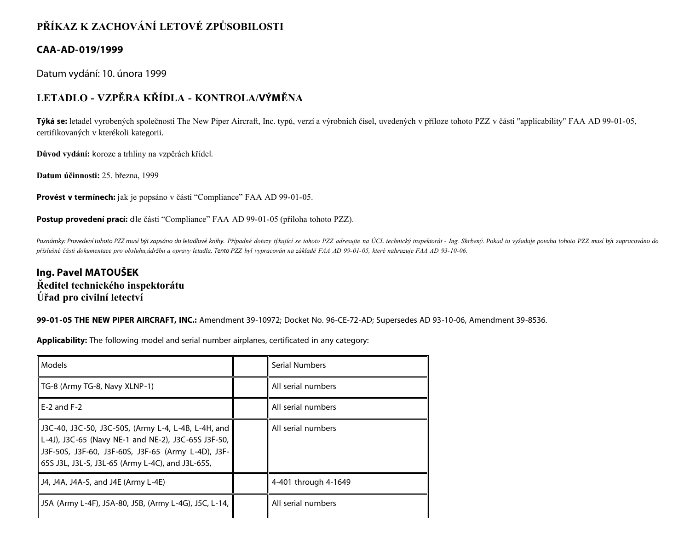# **PŘÍKAZ K ZACHOVÁNÍ LETOVÉ ZPŮSOBILOSTI**

## **CAA-AD-019/1999**

Datum vydání: 10. února 1999

# **LETADLO - VZPĚRA KŘÍDLA - KONTROLA/VÝMĚNA**

**Týká se:** letadel vyrobených společností The New Piper Aircraft, Inc. typů, verzí a výrobních čísel, uvedených v příloze tohoto PZZ v části "applicability" FAA AD 99-01-05, certifikovaných v kterékoli kategorii.

**Důvod vydání:** koroze a trhliny na vzpěrách křídel.

**Datum účinnosti:** 25. března, 1999

**Provést v termínech:** jak je popsáno v části "Compliance" FAA AD 99-01-05.

Postup provedení prací: dle části "Compliance" FAA AD 99-01-05 (příloha tohoto PZZ).

Poznámky: Provedení tohoto PZZ musí být zapsáno do letadlové knihy. Případné dotazy týkající se tohoto PZZ adresujte na ÚCL technický inspektorát - Ing. Shrbený. Pokud to vyžaduje povaha tohoto PZZ musí být zapracováno do *příslušné části dokumentace pro obsluhu,údržbu a opravy letadla. Tento PZZ byl vypracován na základě FAA AD 99-01-05, které nahrazuje FAA AD 93-10-06.*

## **Ing. Pavel MATOUŠEK Ředitel technického inspektorátu Úřad pro civilní letectví**

**99-01-05 THE NEW PIPER AIRCRAFT, INC.:** Amendment 39-10972; Docket No. 96-CE-72-AD; Supersedes AD 93-10-06, Amendment 39-8536.

**Applicability:** The following model and serial number airplanes, certificated in any category:

| Models                                                                                                                                                                                                               | Serial Numbers       |
|----------------------------------------------------------------------------------------------------------------------------------------------------------------------------------------------------------------------|----------------------|
| TG-8 (Army TG-8, Navy XLNP-1)                                                                                                                                                                                        | All serial numbers   |
| $E-2$ and $F-2$                                                                                                                                                                                                      | All serial numbers   |
| J3C-40, J3C-50, J3C-50S, (Army L-4, L-4B, L-4H, and<br>L-4J), J3C-65 (Navy NE-1 and NE-2), J3C-65S J3F-50,<br>J3F-50S, J3F-60, J3F-60S, J3F-65 (Army L-4D), J3F-<br>65S J3L, J3L-S, J3L-65 (Army L-4C), and J3L-65S, | All serial numbers   |
| J4, J4A, J4A-S, and J4E (Army L-4E)                                                                                                                                                                                  | 4-401 through 4-1649 |
| J5A (Army L-4F), J5A-80, J5B, (Army L-4G), J5C, L-14,                                                                                                                                                                | All serial numbers   |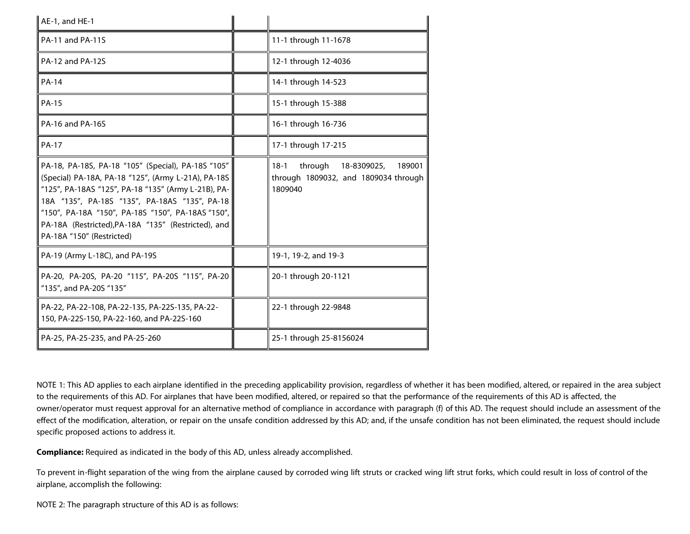| AE-1, and HE-1                                                                                                                                                                                                                                                                                                                                             |                                                                                               |
|------------------------------------------------------------------------------------------------------------------------------------------------------------------------------------------------------------------------------------------------------------------------------------------------------------------------------------------------------------|-----------------------------------------------------------------------------------------------|
| PA-11 and PA-11S                                                                                                                                                                                                                                                                                                                                           | 11-1 through 11-1678                                                                          |
| PA-12 and PA-12S                                                                                                                                                                                                                                                                                                                                           | 12-1 through 12-4036                                                                          |
| <b>PA-14</b>                                                                                                                                                                                                                                                                                                                                               | 14-1 through 14-523                                                                           |
| <b>PA-15</b>                                                                                                                                                                                                                                                                                                                                               | 15-1 through 15-388                                                                           |
| PA-16 and PA-16S                                                                                                                                                                                                                                                                                                                                           | 16-1 through 16-736                                                                           |
| <b>PA-17</b>                                                                                                                                                                                                                                                                                                                                               | 17-1 through 17-215                                                                           |
| PA-18, PA-18S, PA-18 "105" (Special), PA-18S "105"<br>(Special) PA-18A, PA-18 "125", (Army L-21A), PA-18S<br>"125", PA-18AS "125", PA-18 "135" (Army L-21B), PA-<br>18A "135", PA-18S "135", PA-18AS "135", PA-18<br>"150", PA-18A "150", PA-18S "150", PA-18AS "150",<br>PA-18A (Restricted), PA-18A "135" (Restricted), and<br>PA-18A "150" (Restricted) | through<br>189001<br>$18-1$<br>18-8309025,<br>through 1809032, and 1809034 through<br>1809040 |
| PA-19 (Army L-18C), and PA-19S                                                                                                                                                                                                                                                                                                                             | 19-1, 19-2, and 19-3                                                                          |
| PA-20, PA-20S, PA-20 "115", PA-20S "115", PA-20<br>"135", and PA-20S "135"                                                                                                                                                                                                                                                                                 | 20-1 through 20-1121                                                                          |
| PA-22, PA-22-108, PA-22-135, PA-22S-135, PA-22-<br>150, PA-22S-150, PA-22-160, and PA-22S-160                                                                                                                                                                                                                                                              | 22-1 through 22-9848                                                                          |
| PA-25, PA-25-235, and PA-25-260                                                                                                                                                                                                                                                                                                                            | 25-1 through 25-8156024                                                                       |

NOTE 1: This AD applies to each airplane identified in the preceding applicability provision, regardless of whether it has been modified, altered, or repaired in the area subject to the requirements of this AD. For airplanes that have been modified, altered, or repaired so that the performance of the requirements of this AD is affected, the owner/operator must request approval for an alternative method of compliance in accordance with paragraph (f) of this AD. The request should include an assessment of the effect of the modification, alteration, or repair on the unsafe condition addressed by this AD; and, if the unsafe condition has not been eliminated, the request should include specific proposed actions to address it.

**Compliance:** Required as indicated in the body of this AD, unless already accomplished.

To prevent in-flight separation of the wing from the airplane caused by corroded wing lift struts or cracked wing lift strut forks, which could result in loss of control of the airplane, accomplish the following:

NOTE 2: The paragraph structure of this AD is as follows: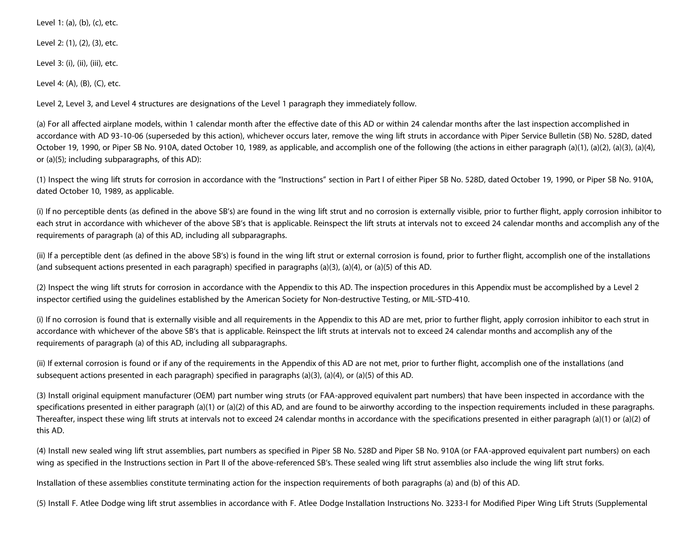Level 1: (a), (b), (c), etc.

Level 2: (1), (2), (3), etc.

Level 3: (i), (ii), (iii), etc.

Level 4: (A), (B), (C), etc.

Level 2, Level 3, and Level 4 structures are designations of the Level 1 paragraph they immediately follow.

(a) For all affected airplane models, within 1 calendar month after the effective date of this AD or within 24 calendar months after the last inspection accomplished in accordance with AD 93-10-06 (superseded by this action), whichever occurs later, remove the wing lift struts in accordance with Piper Service Bulletin (SB) No. 528D, dated October 19, 1990, or Piper SB No. 910A, dated October 10, 1989, as applicable, and accomplish one of the following (the actions in either paragraph (a)(1), (a)(2), (a)(3), (a)(4), or (a)(5); including subparagraphs, of this AD):

(1) Inspect the wing lift struts for corrosion in accordance with the "Instructions" section in Part I of either Piper SB No. 528D, dated October 19, 1990, or Piper SB No. 910A, dated October 10, 1989, as applicable.

(i) If no perceptible dents (as defined in the above SB's) are found in the wing lift strut and no corrosion is externally visible, prior to further flight, apply corrosion inhibitor to each strut in accordance with whichever of the above SB's that is applicable. Reinspect the lift struts at intervals not to exceed 24 calendar months and accomplish any of the requirements of paragraph (a) of this AD, including all subparagraphs.

(ii) If a perceptible dent (as defined in the above SB's) is found in the wing lift strut or external corrosion is found, prior to further flight, accomplish one of the installations (and subsequent actions presented in each paragraph) specified in paragraphs (a)(3), (a)(4), or (a)(5) of this AD.

(2) Inspect the wing lift struts for corrosion in accordance with the Appendix to this AD. The inspection procedures in this Appendix must be accomplished by a Level 2 inspector certified using the guidelines established by the American Society for Non-destructive Testing, or MIL-STD-410.

(i) If no corrosion is found that is externally visible and all requirements in the Appendix to this AD are met, prior to further flight, apply corrosion inhibitor to each strut in accordance with whichever of the above SB's that is applicable. Reinspect the lift struts at intervals not to exceed 24 calendar months and accomplish any of the requirements of paragraph (a) of this AD, including all subparagraphs.

(ii) If external corrosion is found or if any of the requirements in the Appendix of this AD are not met, prior to further flight, accomplish one of the installations (and subsequent actions presented in each paragraph) specified in paragraphs (a)(3), (a)(4), or (a)(5) of this AD.

(3) Install original equipment manufacturer (OEM) part number wing struts (or FAA-approved equivalent part numbers) that have been inspected in accordance with the specifications presented in either paragraph (a)(1) or (a)(2) of this AD, and are found to be airworthy according to the inspection requirements included in these paragraphs. Thereafter, inspect these wing lift struts at intervals not to exceed 24 calendar months in accordance with the specifications presented in either paragraph (a)(1) or (a)(2) of this AD.

(4) Install new sealed wing lift strut assemblies, part numbers as specified in Piper SB No. 528D and Piper SB No. 910A (or FAA-approved equivalent part numbers) on each wing as specified in the Instructions section in Part II of the above-referenced SB's. These sealed wing lift strut assemblies also include the wing lift strut forks.

Installation of these assemblies constitute terminating action for the inspection requirements of both paragraphs (a) and (b) of this AD.

(5) Install F. Atlee Dodge wing lift strut assemblies in accordance with F. Atlee Dodge Installation Instructions No. 3233-I for Modified Piper Wing Lift Struts (Supplemental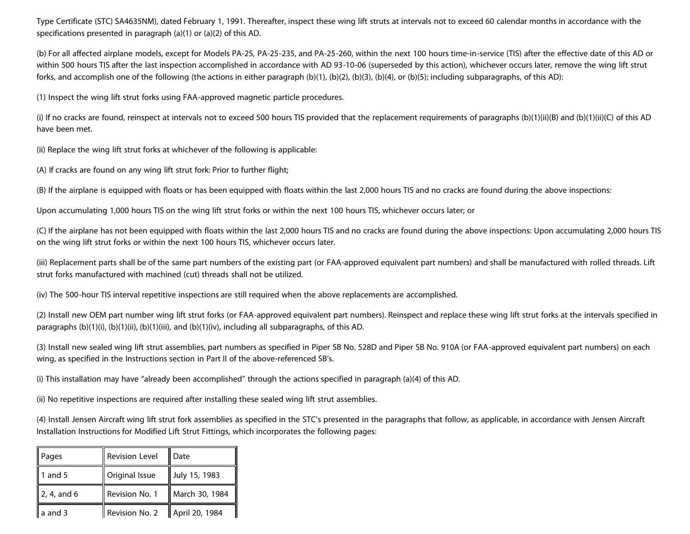Type Certificate (STC) SA4635NM), dated February 1, 1991. Thereafter, inspect these wing lift struts at intervals not to exceed 60 calendar months in accordance with the specifications presented in paragraph (a)(1) or (a)(2) of this AD.

(b) For all affected airplane models, except for Models PA-25, PA-25-235, and PA-25-260, within the next 100 hours time-in-service (TIS) after the effective date of this AD or within 500 hours TIS after the last inspection accomplished in accordance with AD 93-10-06 (superseded by this action), whichever occurs later, remove the wing lift strut forks, and accomplish one of the following (the actions in either paragraph (b)(1), (b)(2), (b)(3), (b)(4), or (b)(5); including subparagraphs, of this AD):

(1) Inspect the wing lift strut forks using FAA-approved magnetic particle procedures.

(i) If no cracks are found, reinspect at intervals not to exceed 500 hours TIS provided that the replacement requirements of paragraphs (b)(1)(ii)(B) and (b)(1)(ii)(C) of this AD have been met.

(ii) Replace the wing lift strut forks at whichever of the following is applicable:

(A) If cracks are found on any wing lift strut fork: Prior to further flight;

(B) If the airplane is equipped with floats or has been equipped with floats within the last 2,000 hours TIS and no cracks are found during the above inspections:

Upon accumulating 1,000 hours TIS on the wing lift strut forks or within the next 100 hours TIS, whichever occurs later; or

(C) If the airplane has not been equipped with floats within the last 2,000 hours TIS and no cracks are found during the above inspections: Upon accumulating 2,000 hours TIS on the wing lift strut forks or within the next 100 hours TIS, whichever occurs later.

(iii) Replacement parts shall be of the same part numbers of the existing part (or FAA-approved equivalent part numbers) and shall be manufactured with rolled threads. Lift strut forks manufactured with machined (cut) threads shall not be utilized.

(iv) The 500-hour TIS interval repetitive inspections are still required when the above replacements are accomplished.

(2) Install new OEM part number wing lift strut forks (or FAA-approved equivalent part numbers). Reinspect and replace these wing lift strut forks at the intervals specified in paragraphs (b)(1)(i), (b)(1)(ii), (b)(1)(iii), and (b)(1)(iv), including all subparagraphs, of this AD.

(3) Install new sealed wing lift strut assemblies, part numbers as specified in Piper SB No. 528D and Piper SB No. 910A (or FAA-approved equivalent part numbers) on each wing, as specified in the Instructions section in Part II of the above-referenced SB's.

(i) This installation may have "already been accomplished" through the actions specified in paragraph (a)(4) of this AD.

(ii) No repetitive inspections are required after installing these sealed wing lift strut assemblies.

(4) Install Jensen Aircraft wing lift strut fork assemblies as specified in the STC's presented in the paragraphs that follow, as applicable, in accordance with Jensen Aircraft Installation Instructions for Modified Lift Strut Fittings, which incorporates the following pages:

| Pages                 | <b>Revision Level</b> | Date           |
|-----------------------|-----------------------|----------------|
| 1 and $5$             | Original Issue        | July 15, 1983  |
| $\sqrt{2}$ , 4, and 6 | Revision No. 1        | March 30, 1984 |
| $a$ and 3             | Revision No. 2        | April 20, 1984 |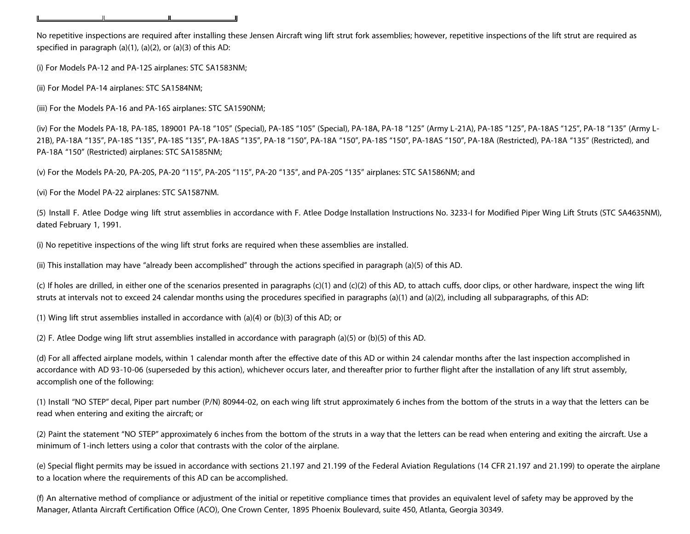No repetitive inspections are required after installing these Jensen Aircraft wing lift strut fork assemblies; however, repetitive inspections of the lift strut are required as specified in paragraph (a)(1), (a)(2), or (a)(3) of this AD:

(i) For Models PA-12 and PA-12S airplanes: STC SA1583NM;

(ii) For Model PA-14 airplanes: STC SA1584NM;

(iii) For the Models PA-16 and PA-16S airplanes: STC SA1590NM;

(iv) For the Models PA-18, PA-18S, 189001 PA-18 "105" (Special), PA-18S "105" (Special), PA-18A, PA-18 "125" (Army L-21A), PA-18S "125", PA-18AS "125", PA-18 "135" (Army L-21B), PA-18A "135", PA-18S "135", PA-18S "135", PA-18AS "135", PA-18 "150", PA-18A "150", PA-18S "150", PA-18AS "150", PA-18A (Restricted), PA-18A "135" (Restricted), and PA-18A "150" (Restricted) airplanes: STC SA1585NM;

(v) For the Models PA-20, PA-20S, PA-20 "115", PA-20S "115", PA-20 "135", and PA-20S "135" airplanes: STC SA1586NM; and

(vi) For the Model PA-22 airplanes: STC SA1587NM.

(5) Install F. Atlee Dodge wing lift strut assemblies in accordance with F. Atlee Dodge Installation Instructions No. 3233-I for Modified Piper Wing Lift Struts (STC SA4635NM), dated February 1, 1991.

(i) No repetitive inspections of the wing lift strut forks are required when these assemblies are installed.

(ii) This installation may have "already been accomplished" through the actions specified in paragraph (a)(5) of this AD.

(c) If holes are drilled, in either one of the scenarios presented in paragraphs (c)(1) and (c)(2) of this AD, to attach cuffs, door clips, or other hardware, inspect the wing lift struts at intervals not to exceed 24 calendar months using the procedures specified in paragraphs (a)(1) and (a)(2), including all subparagraphs, of this AD:

(1) Wing lift strut assemblies installed in accordance with (a)(4) or (b)(3) of this AD; or

(2) F. Atlee Dodge wing lift strut assemblies installed in accordance with paragraph (a)(5) or (b)(5) of this AD.

(d) For all affected airplane models, within 1 calendar month after the effective date of this AD or within 24 calendar months after the last inspection accomplished in accordance with AD 93-10-06 (superseded by this action), whichever occurs later, and thereafter prior to further flight after the installation of any lift strut assembly, accomplish one of the following:

(1) Install "NO STEP" decal, Piper part number (P/N) 80944-02, on each wing lift strut approximately 6 inches from the bottom of the struts in a way that the letters can be read when entering and exiting the aircraft; or

(2) Paint the statement "NO STEP" approximately 6 inches from the bottom of the struts in a way that the letters can be read when entering and exiting the aircraft. Use a minimum of 1-inch letters using a color that contrasts with the color of the airplane.

(e) Special flight permits may be issued in accordance with sections 21.197 and 21.199 of the Federal Aviation Regulations (14 CFR 21.197 and 21.199) to operate the airplane to a location where the requirements of this AD can be accomplished.

(f) An alternative method of compliance or adjustment of the initial or repetitive compliance times that provides an equivalent level of safety may be approved by the Manager, Atlanta Aircraft Certification Office (ACO), One Crown Center, 1895 Phoenix Boulevard, suite 450, Atlanta, Georgia 30349.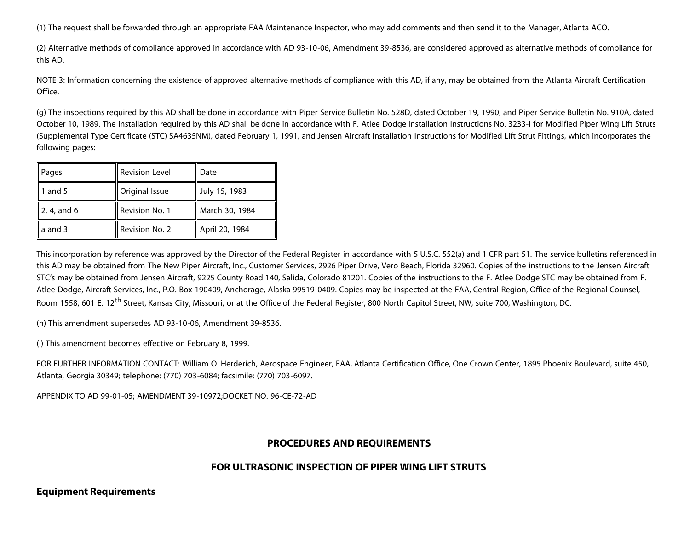(1) The request shall be forwarded through an appropriate FAA Maintenance Inspector, who may add comments and then send it to the Manager, Atlanta ACO.

(2) Alternative methods of compliance approved in accordance with AD 93-10-06, Amendment 39-8536, are considered approved as alternative methods of compliance for this AD.

NOTE 3: Information concerning the existence of approved alternative methods of compliance with this AD, if any, may be obtained from the Atlanta Aircraft Certification Office.

(g) The inspections required by this AD shall be done in accordance with Piper Service Bulletin No. 528D, dated October 19, 1990, and Piper Service Bulletin No. 910A, dated October 10, 1989. The installation required by this AD shall be done in accordance with F. Atlee Dodge Installation Instructions No. 3233-I for Modified Piper Wing Lift Struts (Supplemental Type Certificate (STC) SA4635NM), dated February 1, 1991, and Jensen Aircraft Installation Instructions for Modified Lift Strut Fittings, which incorporates the following pages:

| Pages         | <b>Revision Level</b> | Date           |
|---------------|-----------------------|----------------|
| 1 and 5       | Original Issue        | July 15, 1983  |
| $2, 4,$ and 6 | Revision No. 1        | March 30, 1984 |
| a and 3       | Revision No. 2        | April 20, 1984 |

This incorporation by reference was approved by the Director of the Federal Register in accordance with 5 U.S.C. 552(a) and 1 CFR part 51. The service bulletins referenced in this AD may be obtained from The New Piper Aircraft, Inc., Customer Services, 2926 Piper Drive, Vero Beach, Florida 32960. Copies of the instructions to the Jensen Aircraft STC's may be obtained from Jensen Aircraft, 9225 County Road 140, Salida, Colorado 81201. Copies of the instructions to the F. Atlee Dodge STC may be obtained from F. Atlee Dodge, Aircraft Services, Inc., P.O. Box 190409, Anchorage, Alaska 99519-0409. Copies may be inspected at the FAA, Central Region, Office of the Regional Counsel, Room 1558, 601 E. 12<sup>th</sup> Street, Kansas City, Missouri, or at the Office of the Federal Register, 800 North Capitol Street, NW, suite 700, Washington, DC.

(h) This amendment supersedes AD 93-10-06, Amendment 39-8536.

(i) This amendment becomes effective on February 8, 1999.

FOR FURTHER INFORMATION CONTACT: William O. Herderich, Aerospace Engineer, FAA, Atlanta Certification Office, One Crown Center, 1895 Phoenix Boulevard, suite 450, Atlanta, Georgia 30349; telephone: (770) 703-6084; facsimile: (770) 703-6097.

APPENDIX TO AD 99-01-05; AMENDMENT 39-10972;DOCKET NO. 96-CE-72-AD

### **PROCEDURES AND REQUIREMENTS**

### **FOR ULTRASONIC INSPECTION OF PIPER WING LIFT STRUTS**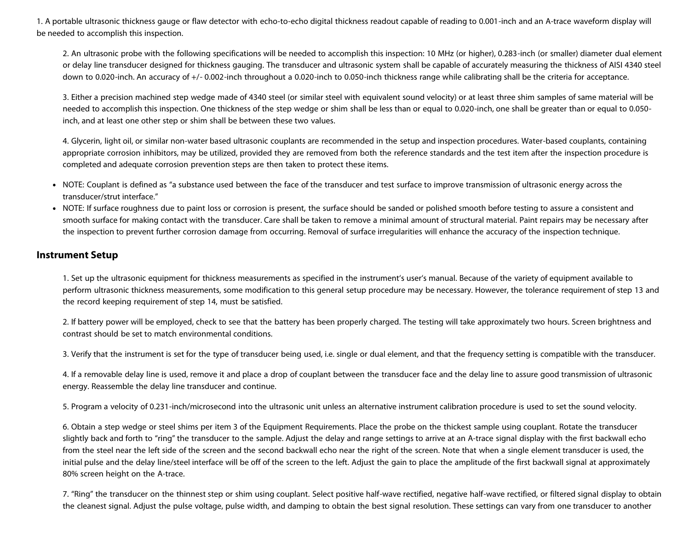1. A portable ultrasonic thickness gauge or flaw detector with echo-to-echo digital thickness readout capable of reading to 0.001-inch and an A-trace waveform display will be needed to accomplish this inspection.

2. An ultrasonic probe with the following specifications will be needed to accomplish this inspection: 10 MHz (or higher), 0.283-inch (or smaller) diameter dual element or delay line transducer designed for thickness gauging. The transducer and ultrasonic system shall be capable of accurately measuring the thickness of AISI 4340 steel down to 0.020-inch. An accuracy of +/- 0.002-inch throughout a 0.020-inch to 0.050-inch thickness range while calibrating shall be the criteria for acceptance.

3. Either a precision machined step wedge made of 4340 steel (or similar steel with equivalent sound velocity) or at least three shim samples of same material will be needed to accomplish this inspection. One thickness of the step wedge or shim shall be less than or equal to 0.020-inch, one shall be greater than or equal to 0.050 inch, and at least one other step or shim shall be between these two values.

4. Glycerin, light oil, or similar non-water based ultrasonic couplants are recommended in the setup and inspection procedures. Water-based couplants, containing appropriate corrosion inhibitors, may be utilized, provided they are removed from both the reference standards and the test item after the inspection procedure is completed and adequate corrosion prevention steps are then taken to protect these items.

- NOTE: Couplant is defined as "a substance used between the face of the transducer and test surface to improve transmission of ultrasonic energy across the transducer/strut interface."
- NOTE: If surface roughness due to paint loss or corrosion is present, the surface should be sanded or polished smooth before testing to assure a consistent and smooth surface for making contact with the transducer. Care shall be taken to remove a minimal amount of structural material. Paint repairs may be necessary after the inspection to prevent further corrosion damage from occurring. Removal of surface irregularities will enhance the accuracy of the inspection technique.

#### **Instrument Setup**

1. Set up the ultrasonic equipment for thickness measurements as specified in the instrument's user's manual. Because of the variety of equipment available to perform ultrasonic thickness measurements, some modification to this general setup procedure may be necessary. However, the tolerance requirement of step 13 and the record keeping requirement of step 14, must be satisfied.

2. If battery power will be employed, check to see that the battery has been properly charged. The testing will take approximately two hours. Screen brightness and contrast should be set to match environmental conditions.

3. Verify that the instrument is set for the type of transducer being used, i.e. single or dual element, and that the frequency setting is compatible with the transducer.

4. If a removable delay line is used, remove it and place a drop of couplant between the transducer face and the delay line to assure good transmission of ultrasonic energy. Reassemble the delay line transducer and continue.

5. Program a velocity of 0.231-inch/microsecond into the ultrasonic unit unless an alternative instrument calibration procedure is used to set the sound velocity.

6. Obtain a step wedge or steel shims per item 3 of the Equipment Requirements. Place the probe on the thickest sample using couplant. Rotate the transducer slightly back and forth to "ring" the transducer to the sample. Adjust the delay and range settings to arrive at an A-trace signal display with the first backwall echo from the steel near the left side of the screen and the second backwall echo near the right of the screen. Note that when a single element transducer is used, the initial pulse and the delay line/steel interface will be off of the screen to the left. Adjust the gain to place the amplitude of the first backwall signal at approximately 80% screen height on the A-trace.

7. "Ring" the transducer on the thinnest step or shim using couplant. Select positive half-wave rectified, negative half-wave rectified, or filtered signal display to obtain the cleanest signal. Adjust the pulse voltage, pulse width, and damping to obtain the best signal resolution. These settings can vary from one transducer to another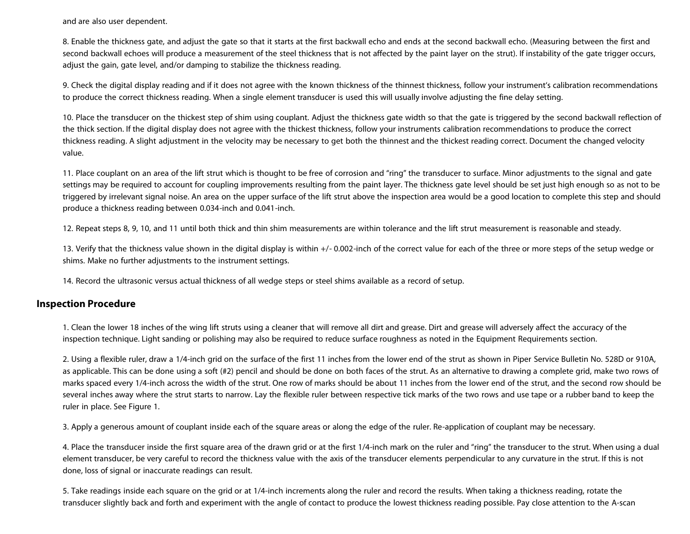and are also user dependent.

8. Enable the thickness gate, and adjust the gate so that it starts at the first backwall echo and ends at the second backwall echo. (Measuring between the first and second backwall echoes will produce a measurement of the steel thickness that is not affected by the paint layer on the strut). If instability of the gate trigger occurs, adjust the gain, gate level, and/or damping to stabilize the thickness reading.

9. Check the digital display reading and if it does not agree with the known thickness of the thinnest thickness, follow your instrument's calibration recommendations to produce the correct thickness reading. When a single element transducer is used this will usually involve adjusting the fine delay setting.

10. Place the transducer on the thickest step of shim using couplant. Adjust the thickness gate width so that the gate is triggered by the second backwall reflection of the thick section. If the digital display does not agree with the thickest thickness, follow your instruments calibration recommendations to produce the correct thickness reading. A slight adjustment in the velocity may be necessary to get both the thinnest and the thickest reading correct. Document the changed velocity value.

11. Place couplant on an area of the lift strut which is thought to be free of corrosion and "ring" the transducer to surface. Minor adjustments to the signal and gate settings may be required to account for coupling improvements resulting from the paint layer. The thickness gate level should be set just high enough so as not to be triggered by irrelevant signal noise. An area on the upper surface of the lift strut above the inspection area would be a good location to complete this step and should produce a thickness reading between 0.034-inch and 0.041-inch.

12. Repeat steps 8, 9, 10, and 11 until both thick and thin shim measurements are within tolerance and the lift strut measurement is reasonable and steady.

13. Verify that the thickness value shown in the digital display is within +/- 0.002-inch of the correct value for each of the three or more steps of the setup wedge or shims. Make no further adjustments to the instrument settings.

14. Record the ultrasonic versus actual thickness of all wedge steps or steel shims available as a record of setup.

#### **Inspection Procedure**

1. Clean the lower 18 inches of the wing lift struts using a cleaner that will remove all dirt and grease. Dirt and grease will adversely affect the accuracy of the inspection technique. Light sanding or polishing may also be required to reduce surface roughness as noted in the Equipment Requirements section.

2. Using a flexible ruler, draw a 1/4-inch grid on the surface of the first 11 inches from the lower end of the strut as shown in Piper Service Bulletin No. 528D or 910A, as applicable. This can be done using a soft (#2) pencil and should be done on both faces of the strut. As an alternative to drawing a complete grid, make two rows of marks spaced every 1/4-inch across the width of the strut. One row of marks should be about 11 inches from the lower end of the strut, and the second row should be several inches away where the strut starts to narrow. Lay the flexible ruler between respective tick marks of the two rows and use tape or a rubber band to keep the ruler in place. See Figure 1.

3. Apply a generous amount of couplant inside each of the square areas or along the edge of the ruler. Re-application of couplant may be necessary.

4. Place the transducer inside the first square area of the drawn grid or at the first 1/4-inch mark on the ruler and "ring" the transducer to the strut. When using a dual element transducer, be very careful to record the thickness value with the axis of the transducer elements perpendicular to any curvature in the strut. If this is not done, loss of signal or inaccurate readings can result.

5. Take readings inside each square on the grid or at 1/4-inch increments along the ruler and record the results. When taking a thickness reading, rotate the transducer slightly back and forth and experiment with the angle of contact to produce the lowest thickness reading possible. Pay close attention to the A-scan